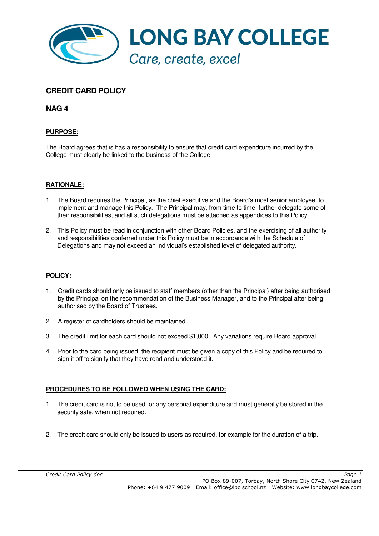

# **CREDIT CARD POLICY**

**NAG 4**

## **PURPOSE:**

The Board agrees that is has a responsibility to ensure that credit card expenditure incurred by the College must clearly be linked to the business of the College.

## **RATIONALE:**

- 1. The Board requires the Principal, as the chief executive and the Board's most senior employee, to implement and manage this Policy. The Principal may, from time to time, further delegate some of their responsibilities, and all such delegations must be attached as appendices to this Policy.
- 2. This Policy must be read in conjunction with other Board Policies, and the exercising of all authority and responsibilities conferred under this Policy must be in accordance with the Schedule of Delegations and may not exceed an individual's established level of delegated authority.

## **POLICY:**

- 1. Credit cards should only be issued to staff members (other than the Principal) after being authorised by the Principal on the recommendation of the Business Manager, and to the Principal after being authorised by the Board of Trustees.
- 2. A register of cardholders should be maintained.
- 3. The credit limit for each card should not exceed \$1,000. Any variations require Board approval.
- 4. Prior to the card being issued, the recipient must be given a copy of this Policy and be required to sign it off to signify that they have read and understood it.

## **PROCEDURES TO BE FOLLOWED WHEN USING THE CARD:**

- 1. The credit card is not to be used for any personal expenditure and must generally be stored in the security safe, when not required.
- 2. The credit card should only be issued to users as required, for example for the duration of a trip.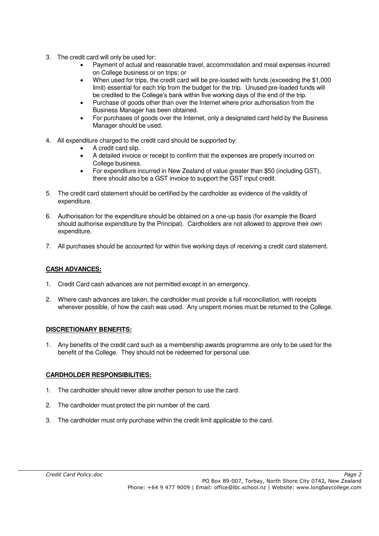- 3. The credit card will only be used for:
	- Payment of actual and reasonable travel, accommodation and meal expenses incurred on College business or on trips; or
	- When used for trips, the credit card will be pre-loaded with funds (exceeding the \$1,000 limit) essential for each trip from the budget for the trip. Unused pre-loaded funds will be credited to the College's bank within five working days of the end of the trip.
	- Purchase of goods other than over the Internet where prior authorisation from the Business Manager has been obtained.
	- For purchases of goods over the Internet, only a designated card held by the Business Manager should be used.
- 4. All expenditure charged to the credit card should be supported by:
	- A credit card slip.
	- A detailed invoice or receipt to confirm that the expenses are properly incurred on College business.
	- For expenditure incurred in New Zealand of value greater than \$50 (including GST), there should also be a GST invoice to support the GST input credit.
- 5. The credit card statement should be certified by the cardholder as evidence of the validity of expenditure.
- 6. Authorisation for the expenditure should be obtained on a one-up basis (for example the Board should authorise expenditure by the Principal). Cardholders are not allowed to approve their own expenditure.
- 7. All purchases should be accounted for within five working days of receiving a credit card statement.

## **CASH ADVANCES:**

- 1. Credit Card cash advances are not permitted except in an emergency.
- 2. Where cash advances are taken, the cardholder must provide a full reconciliation, with receipts wherever possible, of how the cash was used. Any unspent monies must be returned to the College.

### **DISCRETIONARY BENEFITS:**

1. Any benefits of the credit card such as a membership awards programme are only to be used for the benefit of the College. They should not be redeemed for personal use.

## **CARDHOLDER RESPONSIBILITIES:**

- 1. The cardholder should never allow another person to use the card.
- 2. The cardholder must protect the pin number of the card.
- 3. The cardholder must only purchase within the credit limit applicable to the card.